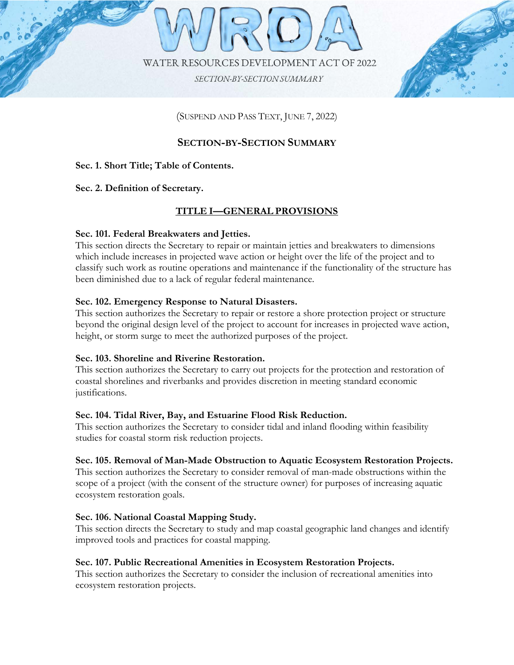



# (SUSPEND AND PASS TEXT, JUNE 7, 2022)

#### **Sec. 2. Definition of Secretary. SECTION-BY-SECTION SUMMARY**

# **Sec. 1. Short Title; Table of Contents.**

#### **Sec. 2. Definition of Secretary.**  $T_{\rm tot} = T_{\rm eff}$  section directs the Secretary to direct samples and breakwaters to dimensions and breakwaters to dimensions to dimensions and breakwaters to dimensions and breakwaters to dimensions and  $T_{\rm eff}$

## which include increases in projected wave action or height over the life of the project and to **TITLE I—GENERAL PROVISIONS** classifications as routine operations and maintenance if the functions and maintenance if the structure has st<br>If the structure has the functionality of the structure has the structure has the structure has the structure

## **Sec. 101. Federal Breakwaters and Jetties.**

which include increases in projected wave action or height over the life of the project and to classify such work as routine operations and maintenance if the functionality of the structure has been diminished due to a lack of regular federal maintenance. This section directs the Secretary to repair or maintain jetties and breakwaters to dimensions

## **Sec. 102. Emergency Response to Natural Disasters.**

This section authorizes the Secretary to repair or restore a shore protection project or structure beyond the original design level of the project to account for increases in projected wave action, height, or storm surge to meet the authorized purposes of the project.

#### $\overline{a}$   $\overline{a}$   $\overline{a}$ **Sec. 103. Shoreline and Riverine Restoration.**

**SECTION AUTORIZES** the SECTERALY to CATTY OUR projects for the protect coastal shorelines and riverbanks and provides discretion in meeting standard economic<br>institutions studies for coastal storm risk reduction projects. This section authorizes the Secretary to carry out projects for the protection and restoration of justifications.

#### **Sec. 104. Tidal River, Bay, and Estuarine Flood Risk Reduction.**

This section authorizes the Secretary to consider tidal and inland flooding within feasibility This section authorizes the Secretary to consider removal of man-made obstructions within the studies for coastal storm risk reduction projects. stop of a project (with the structure of the structure of the structure owner) for  $\frac{1}{\sqrt{2}}$ 

# Sec. 105. Removal of Man-Made Obstruction to Aquatic Ecosystem Restoration Projects.

scope of a project (with the consent of the structure owner) for purposes of increasing aquatic ecosystem restoration goals. This section authorizes the Secretary to consider removal of man-made obstructions within the

## **Sec. 106. National Coastal Mapping Study.**

This section directs the Secretary to study and map coastal geographic land changes and identify improved tools and practices for coastal mapping.

#### ecosystem restoration projects. **Sec. 107. Public Recreational Amenities in Ecosystem Restoration Projects.**

This section authorizes the Secretary to consider the inclusion of recreational amenities into ecosystem restoration projects.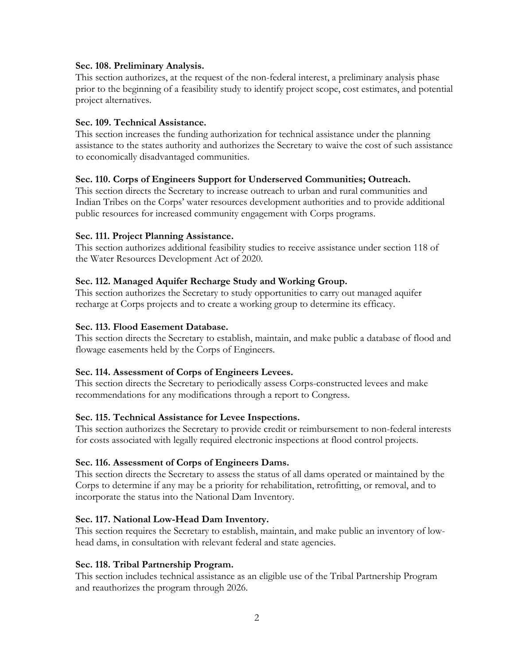#### **Sec. 108. Preliminary Analysis.**

This section authorizes, at the request of the non-federal interest, a preliminary analysis phase prior to the beginning of a feasibility study to identify project scope, cost estimates, and potential project alternatives.

#### **Sec. 109. Technical Assistance.**

This section increases the funding authorization for technical assistance under the planning assistance to the states authority and authorizes the Secretary to waive the cost of such assistance to economically disadvantaged communities.

#### **Sec. 110. Corps of Engineers Support for Underserved Communities; Outreach.**

This section directs the Secretary to increase outreach to urban and rural communities and Indian Tribes on the Corps' water resources development authorities and to provide additional public resources for increased community engagement with Corps programs.

#### **Sec. 111. Project Planning Assistance.**

This section authorizes additional feasibility studies to receive assistance under section 118 of the Water Resources Development Act of 2020.

#### **Sec. 112. Managed Aquifer Recharge Study and Working Group.**

This section authorizes the Secretary to study opportunities to carry out managed aquifer recharge at Corps projects and to create a working group to determine its efficacy.

#### **Sec. 113. Flood Easement Database.**

This section directs the Secretary to establish, maintain, and make public a database of flood and flowage easements held by the Corps of Engineers.

#### **Sec. 114. Assessment of Corps of Engineers Levees.**

This section directs the Secretary to periodically assess Corps-constructed levees and make recommendations for any modifications through a report to Congress.

#### **Sec. 115. Technical Assistance for Levee Inspections.**

This section authorizes the Secretary to provide credit or reimbursement to non-federal interests for costs associated with legally required electronic inspections at flood control projects.

#### **Sec. 116. Assessment of Corps of Engineers Dams.**

This section directs the Secretary to assess the status of all dams operated or maintained by the Corps to determine if any may be a priority for rehabilitation, retrofitting, or removal, and to incorporate the status into the National Dam Inventory.

#### **Sec. 117. National Low-Head Dam Inventory.**

This section requires the Secretary to establish, maintain, and make public an inventory of lowhead dams, in consultation with relevant federal and state agencies.

#### **Sec. 118. Tribal Partnership Program.**

This section includes technical assistance as an eligible use of the Tribal Partnership Program and reauthorizes the program through 2026.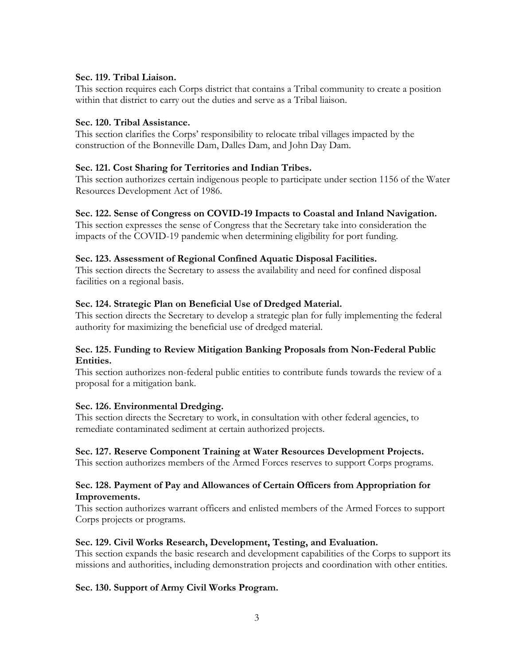#### **Sec. 119. Tribal Liaison.**

This section requires each Corps district that contains a Tribal community to create a position within that district to carry out the duties and serve as a Tribal liaison.

#### **Sec. 120. Tribal Assistance.**

This section clarifies the Corps' responsibility to relocate tribal villages impacted by the construction of the Bonneville Dam, Dalles Dam, and John Day Dam.

#### **Sec. 121. Cost Sharing for Territories and Indian Tribes.**

This section authorizes certain indigenous people to participate under section 1156 of the Water Resources Development Act of 1986.

#### **Sec. 122. Sense of Congress on COVID-19 Impacts to Coastal and Inland Navigation.**

This section expresses the sense of Congress that the Secretary take into consideration the impacts of the COVID-19 pandemic when determining eligibility for port funding.

#### **Sec. 123. Assessment of Regional Confined Aquatic Disposal Facilities.**

This section directs the Secretary to assess the availability and need for confined disposal facilities on a regional basis.

#### **Sec. 124. Strategic Plan on Beneficial Use of Dredged Material.**

This section directs the Secretary to develop a strategic plan for fully implementing the federal authority for maximizing the beneficial use of dredged material.

#### **Sec. 125. Funding to Review Mitigation Banking Proposals from Non-Federal Public Entities.**

This section authorizes non-federal public entities to contribute funds towards the review of a proposal for a mitigation bank.

#### **Sec. 126. Environmental Dredging.**

This section directs the Secretary to work, in consultation with other federal agencies, to remediate contaminated sediment at certain authorized projects.

#### **Sec. 127. Reserve Component Training at Water Resources Development Projects.**

This section authorizes members of the Armed Forces reserves to support Corps programs.

#### **Sec. 128. Payment of Pay and Allowances of Certain Officers from Appropriation for Improvements.**

This section authorizes warrant officers and enlisted members of the Armed Forces to support Corps projects or programs.

#### **Sec. 129. Civil Works Research, Development, Testing, and Evaluation.**

This section expands the basic research and development capabilities of the Corps to support its missions and authorities, including demonstration projects and coordination with other entities.

#### **Sec. 130. Support of Army Civil Works Program.**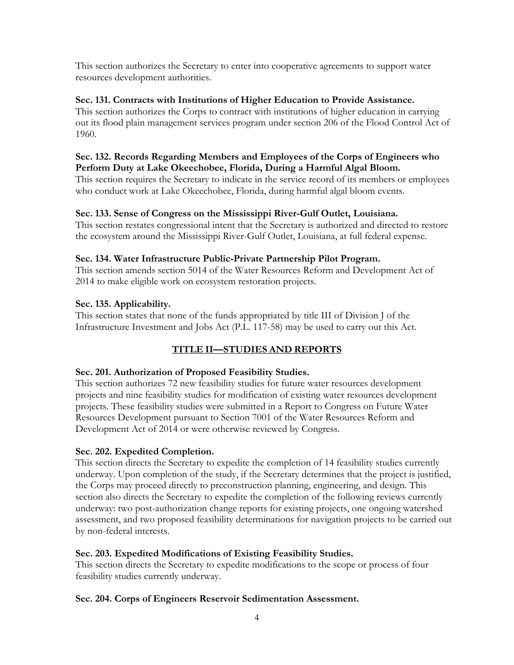This section authorizes the Secretary to enter into cooperative agreements to support water resources development authorities.

## **Sec. 131. Contracts with Institutions of Higher Education to Provide Assistance.**

This section authorizes the Corps to contract with institutions of higher education in carrying out its flood plain management services program under section 206 of the Flood Control Act of 1960.

#### **Sec. 132. Records Regarding Members and Employees of the Corps of Engineers who Perform Duty at Lake Okeechobee, Florida, During a Harmful Algal Bloom.**

This section requires the Secretary to indicate in the service record of its members or employees who conduct work at Lake Okeechobee, Florida, during harmful algal bloom events.

## **Sec. 133. Sense of Congress on the Mississippi River-Gulf Outlet, Louisiana.**

This section restates congressional intent that the Secretary is authorized and directed to restore the ecosystem around the Mississippi River-Gulf Outlet, Louisiana, at full federal expense.

## **Sec. 134. Water Infrastructure Public-Private Partnership Pilot Program.**

This section amends section 5014 of the Water Resources Reform and Development Act of 2014 to make eligible work on ecosystem restoration projects.

## **Sec. 135. Applicability.**

This section states that none of the funds appropriated by title III of Division J of the Infrastructure Investment and Jobs Act (P.L. 117-58) may be used to carry out this Act.

## **TITLE II—STUDIES AND REPORTS**

## **Sec. 201. Authorization of Proposed Feasibility Studies.**

This section authorizes 72 new feasibility studies for future water resources development projects and nine feasibility studies for modification of existing water resources development projects. These feasibility studies were submitted in a Report to Congress on Future Water Resources Development pursuant to Section 7001 of the Water Resources Reform and Development Act of 2014 or were otherwise reviewed by Congress.

#### **Sec. 202. Expedited Completion.**

This section directs the Secretary to expedite the completion of 14 feasibility studies currently underway. Upon completion of the study, if the Secretary determines that the project is justified, the Corps may proceed directly to preconstruction planning, engineering, and design. This section also directs the Secretary to expedite the completion of the following reviews currently underway: two post-authorization change reports for existing projects, one ongoing watershed assessment, and two proposed feasibility determinations for navigation projects to be carried out by non-federal interests.

#### **Sec. 203. Expedited Modifications of Existing Feasibility Studies.**

This section directs the Secretary to expedite modifications to the scope or process of four feasibility studies currently underway.

#### **Sec. 204. Corps of Engineers Reservoir Sedimentation Assessment.**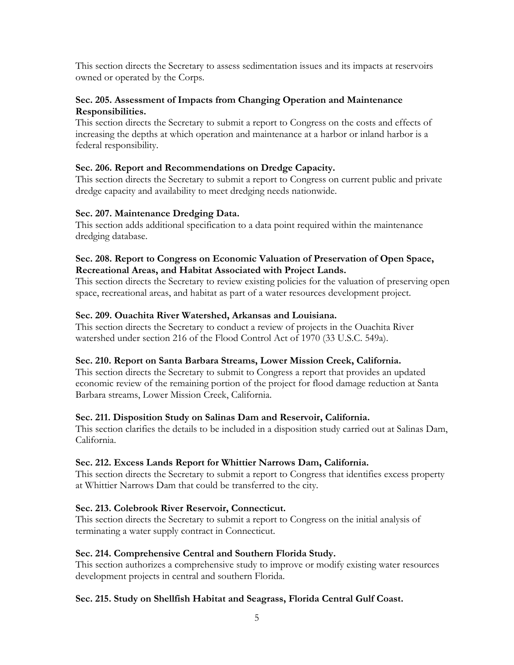This section directs the Secretary to assess sedimentation issues and its impacts at reservoirs owned or operated by the Corps.

## **Sec. 205. Assessment of Impacts from Changing Operation and Maintenance Responsibilities.**

This section directs the Secretary to submit a report to Congress on the costs and effects of increasing the depths at which operation and maintenance at a harbor or inland harbor is a federal responsibility.

## **Sec. 206. Report and Recommendations on Dredge Capacity.**

This section directs the Secretary to submit a report to Congress on current public and private dredge capacity and availability to meet dredging needs nationwide.

#### **Sec. 207. Maintenance Dredging Data.**

This section adds additional specification to a data point required within the maintenance dredging database.

## **Sec. 208. Report to Congress on Economic Valuation of Preservation of Open Space, Recreational Areas, and Habitat Associated with Project Lands.**

This section directs the Secretary to review existing policies for the valuation of preserving open space, recreational areas, and habitat as part of a water resources development project.

## **Sec. 209. Ouachita River Watershed, Arkansas and Louisiana.**

This section directs the Secretary to conduct a review of projects in the Ouachita River watershed under section 216 of the Flood Control Act of 1970 (33 U.S.C. 549a).

## **Sec. 210. Report on Santa Barbara Streams, Lower Mission Creek, California.**

This section directs the Secretary to submit to Congress a report that provides an updated economic review of the remaining portion of the project for flood damage reduction at Santa Barbara streams, Lower Mission Creek, California.

#### **Sec. 211. Disposition Study on Salinas Dam and Reservoir, California.**

This section clarifies the details to be included in a disposition study carried out at Salinas Dam, California.

## **Sec. 212. Excess Lands Report for Whittier Narrows Dam, California.**

This section directs the Secretary to submit a report to Congress that identifies excess property at Whittier Narrows Dam that could be transferred to the city.

## **Sec. 213. Colebrook River Reservoir, Connecticut.**

This section directs the Secretary to submit a report to Congress on the initial analysis of terminating a water supply contract in Connecticut.

#### **Sec. 214. Comprehensive Central and Southern Florida Study.**

This section authorizes a comprehensive study to improve or modify existing water resources development projects in central and southern Florida.

#### **Sec. 215. Study on Shellfish Habitat and Seagrass, Florida Central Gulf Coast.**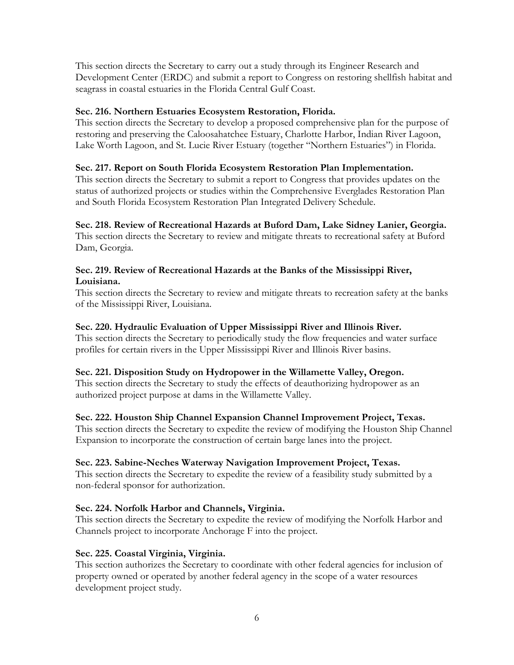This section directs the Secretary to carry out a study through its Engineer Research and Development Center (ERDC) and submit a report to Congress on restoring shellfish habitat and seagrass in coastal estuaries in the Florida Central Gulf Coast.

#### **Sec. 216. Northern Estuaries Ecosystem Restoration, Florida.**

This section directs the Secretary to develop a proposed comprehensive plan for the purpose of restoring and preserving the Caloosahatchee Estuary, Charlotte Harbor, Indian River Lagoon, Lake Worth Lagoon, and St. Lucie River Estuary (together "Northern Estuaries") in Florida.

## **Sec. 217. Report on South Florida Ecosystem Restoration Plan Implementation.**

This section directs the Secretary to submit a report to Congress that provides updates on the status of authorized projects or studies within the Comprehensive Everglades Restoration Plan and South Florida Ecosystem Restoration Plan Integrated Delivery Schedule.

## **Sec. 218. Review of Recreational Hazards at Buford Dam, Lake Sidney Lanier, Georgia.**

This section directs the Secretary to review and mitigate threats to recreational safety at Buford Dam, Georgia.

## **Sec. 219. Review of Recreational Hazards at the Banks of the Mississippi River, Louisiana.**

This section directs the Secretary to review and mitigate threats to recreation safety at the banks of the Mississippi River, Louisiana.

#### **Sec. 220. Hydraulic Evaluation of Upper Mississippi River and Illinois River.**

This section directs the Secretary to periodically study the flow frequencies and water surface profiles for certain rivers in the Upper Mississippi River and Illinois River basins.

## **Sec. 221. Disposition Study on Hydropower in the Willamette Valley, Oregon.**

This section directs the Secretary to study the effects of deauthorizing hydropower as an authorized project purpose at dams in the Willamette Valley.

## **Sec. 222. Houston Ship Channel Expansion Channel Improvement Project, Texas.**

This section directs the Secretary to expedite the review of modifying the Houston Ship Channel Expansion to incorporate the construction of certain barge lanes into the project.

#### **Sec. 223. Sabine-Neches Waterway Navigation Improvement Project, Texas.**

This section directs the Secretary to expedite the review of a feasibility study submitted by a non-federal sponsor for authorization.

## **Sec. 224. Norfolk Harbor and Channels, Virginia.**

This section directs the Secretary to expedite the review of modifying the Norfolk Harbor and Channels project to incorporate Anchorage F into the project.

#### **Sec. 225. Coastal Virginia, Virginia.**

This section authorizes the Secretary to coordinate with other federal agencies for inclusion of property owned or operated by another federal agency in the scope of a water resources development project study.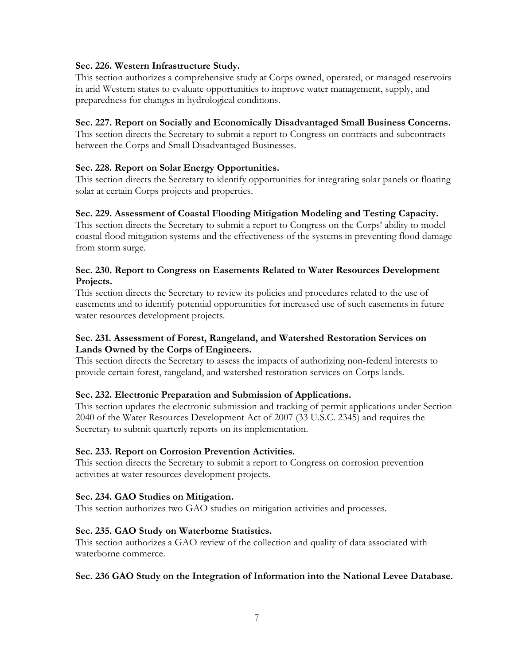#### **Sec. 226. Western Infrastructure Study.**

This section authorizes a comprehensive study at Corps owned, operated, or managed reservoirs in arid Western states to evaluate opportunities to improve water management, supply, and preparedness for changes in hydrological conditions.

#### **Sec. 227. Report on Socially and Economically Disadvantaged Small Business Concerns.**

This section directs the Secretary to submit a report to Congress on contracts and subcontracts between the Corps and Small Disadvantaged Businesses.

## **Sec. 228. Report on Solar Energy Opportunities.**

This section directs the Secretary to identify opportunities for integrating solar panels or floating solar at certain Corps projects and properties.

## **Sec. 229. Assessment of Coastal Flooding Mitigation Modeling and Testing Capacity.**

This section directs the Secretary to submit a report to Congress on the Corps' ability to model coastal flood mitigation systems and the effectiveness of the systems in preventing flood damage from storm surge.

#### **Sec. 230. Report to Congress on Easements Related to Water Resources Development Projects.**

This section directs the Secretary to review its policies and procedures related to the use of easements and to identify potential opportunities for increased use of such easements in future water resources development projects.

#### **Sec. 231. Assessment of Forest, Rangeland, and Watershed Restoration Services on Lands Owned by the Corps of Engineers.**

This section directs the Secretary to assess the impacts of authorizing non-federal interests to provide certain forest, rangeland, and watershed restoration services on Corps lands.

#### **Sec. 232. Electronic Preparation and Submission of Applications.**

This section updates the electronic submission and tracking of permit applications under Section 2040 of the Water Resources Development Act of 2007 (33 U.S.C. 2345) and requires the Secretary to submit quarterly reports on its implementation.

#### **Sec. 233. Report on Corrosion Prevention Activities.**

This section directs the Secretary to submit a report to Congress on corrosion prevention activities at water resources development projects.

#### **Sec. 234. GAO Studies on Mitigation.**

This section authorizes two GAO studies on mitigation activities and processes.

#### **Sec. 235. GAO Study on Waterborne Statistics.**

This section authorizes a GAO review of the collection and quality of data associated with waterborne commerce.

#### **Sec. 236 GAO Study on the Integration of Information into the National Levee Database.**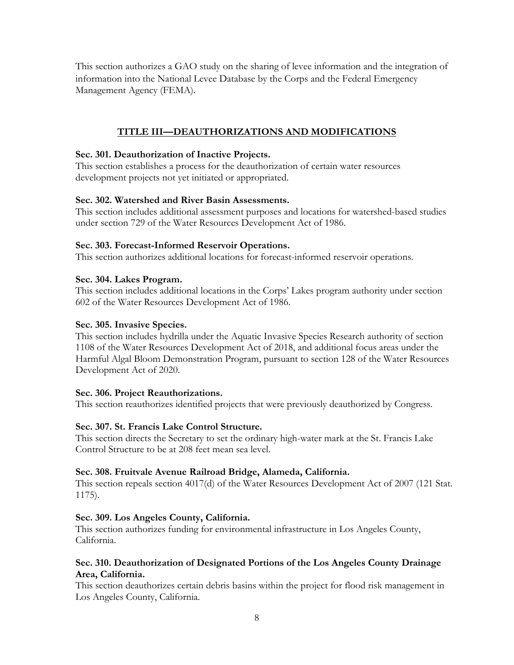This section authorizes a GAO study on the sharing of levee information and the integration of information into the National Levee Database by the Corps and the Federal Emergency Management Agency (FEMA).

## **TITLE III—DEAUTHORIZATIONS AND MODIFICATIONS**

## **Sec. 301. Deauthorization of Inactive Projects.**

This section establishes a process for the deauthorization of certain water resources development projects not yet initiated or appropriated.

## **Sec. 302. Watershed and River Basin Assessments.**

This section includes additional assessment purposes and locations for watershed-based studies under section 729 of the Water Resources Development Act of 1986.

## **Sec. 303. Forecast-Informed Reservoir Operations.**

This section authorizes additional locations for forecast-informed reservoir operations.

## **Sec. 304. Lakes Program.**

This section includes additional locations in the Corps' Lakes program authority under section 602 of the Water Resources Development Act of 1986.

## **Sec. 305. Invasive Species.**

This section includes hydrilla under the Aquatic Invasive Species Research authority of section 1108 of the Water Resources Development Act of 2018, and additional focus areas under the Harmful Algal Bloom Demonstration Program, pursuant to section 128 of the Water Resources Development Act of 2020.

## **Sec. 306. Project Reauthorizations.**

This section reauthorizes identified projects that were previously deauthorized by Congress.

## **Sec. 307. St. Francis Lake Control Structure.**

This section directs the Secretary to set the ordinary high-water mark at the St. Francis Lake Control Structure to be at 208 feet mean sea level.

## **Sec. 308. Fruitvale Avenue Railroad Bridge, Alameda, California.**

This section repeals section 4017(d) of the Water Resources Development Act of 2007 (121 Stat. 1175).

## **Sec. 309. Los Angeles County, California.**

This section authorizes funding for environmental infrastructure in Los Angeles County, California.

## **Sec. 310. Deauthorization of Designated Portions of the Los Angeles County Drainage Area, California.**

This section deauthorizes certain debris basins within the project for flood risk management in Los Angeles County, California.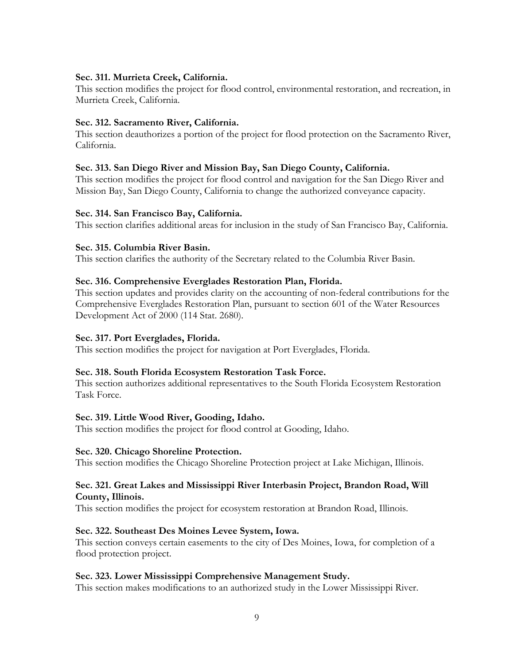#### **Sec. 311. Murrieta Creek, California.**

This section modifies the project for flood control, environmental restoration, and recreation, in Murrieta Creek, California.

#### **Sec. 312. Sacramento River, California.**

This section deauthorizes a portion of the project for flood protection on the Sacramento River, California.

#### **Sec. 313. San Diego River and Mission Bay, San Diego County, California.**

This section modifies the project for flood control and navigation for the San Diego River and Mission Bay, San Diego County, California to change the authorized conveyance capacity.

#### **Sec. 314. San Francisco Bay, California.**

This section clarifies additional areas for inclusion in the study of San Francisco Bay, California.

#### **Sec. 315. Columbia River Basin.**

This section clarifies the authority of the Secretary related to the Columbia River Basin.

#### **Sec. 316. Comprehensive Everglades Restoration Plan, Florida.**

This section updates and provides clarity on the accounting of non-federal contributions for the Comprehensive Everglades Restoration Plan, pursuant to section 601 of the Water Resources Development Act of 2000 (114 Stat. 2680).

#### **Sec. 317. Port Everglades, Florida.**

This section modifies the project for navigation at Port Everglades, Florida.

#### **Sec. 318. South Florida Ecosystem Restoration Task Force.**

This section authorizes additional representatives to the South Florida Ecosystem Restoration Task Force.

#### **Sec. 319. Little Wood River, Gooding, Idaho.**

This section modifies the project for flood control at Gooding, Idaho.

#### **Sec. 320. Chicago Shoreline Protection.**

This section modifies the Chicago Shoreline Protection project at Lake Michigan, Illinois.

#### **Sec. 321. Great Lakes and Mississippi River Interbasin Project, Brandon Road, Will County, Illinois.**

This section modifies the project for ecosystem restoration at Brandon Road, Illinois.

#### **Sec. 322. Southeast Des Moines Levee System, Iowa.**

This section conveys certain easements to the city of Des Moines, Iowa, for completion of a flood protection project.

#### **Sec. 323. Lower Mississippi Comprehensive Management Study.**

This section makes modifications to an authorized study in the Lower Mississippi River.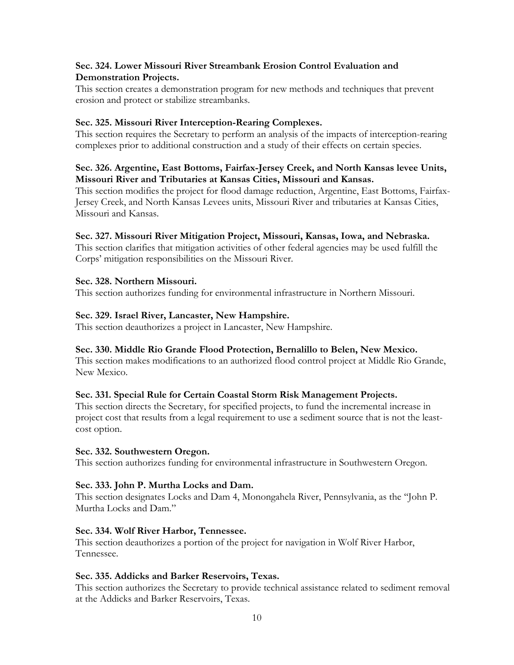#### **Sec. 324. Lower Missouri River Streambank Erosion Control Evaluation and Demonstration Projects.**

This section creates a demonstration program for new methods and techniques that prevent erosion and protect or stabilize streambanks.

## **Sec. 325. Missouri River Interception-Rearing Complexes.**

This section requires the Secretary to perform an analysis of the impacts of interception-rearing complexes prior to additional construction and a study of their effects on certain species.

#### **Sec. 326. Argentine, East Bottoms, Fairfax-Jersey Creek, and North Kansas levee Units, Missouri River and Tributaries at Kansas Cities, Missouri and Kansas.**

This section modifies the project for flood damage reduction, Argentine, East Bottoms, Fairfax-Jersey Creek, and North Kansas Levees units, Missouri River and tributaries at Kansas Cities, Missouri and Kansas.

## **Sec. 327. Missouri River Mitigation Project, Missouri, Kansas, Iowa, and Nebraska.**

This section clarifies that mitigation activities of other federal agencies may be used fulfill the Corps' mitigation responsibilities on the Missouri River.

## **Sec. 328. Northern Missouri.**

This section authorizes funding for environmental infrastructure in Northern Missouri.

## **Sec. 329. Israel River, Lancaster, New Hampshire.**

This section deauthorizes a project in Lancaster, New Hampshire.

#### **Sec. 330. Middle Rio Grande Flood Protection, Bernalillo to Belen, New Mexico.**

This section makes modifications to an authorized flood control project at Middle Rio Grande, New Mexico.

## **Sec. 331. Special Rule for Certain Coastal Storm Risk Management Projects.**

This section directs the Secretary, for specified projects, to fund the incremental increase in project cost that results from a legal requirement to use a sediment source that is not the leastcost option.

#### **Sec. 332. Southwestern Oregon.**

This section authorizes funding for environmental infrastructure in Southwestern Oregon.

#### **Sec. 333. John P. Murtha Locks and Dam.**

This section designates Locks and Dam 4, Monongahela River, Pennsylvania, as the ''John P. Murtha Locks and Dam."

#### **Sec. 334. Wolf River Harbor, Tennessee.**

This section deauthorizes a portion of the project for navigation in Wolf River Harbor, Tennessee.

#### **Sec. 335. Addicks and Barker Reservoirs, Texas.**

This section authorizes the Secretary to provide technical assistance related to sediment removal at the Addicks and Barker Reservoirs, Texas.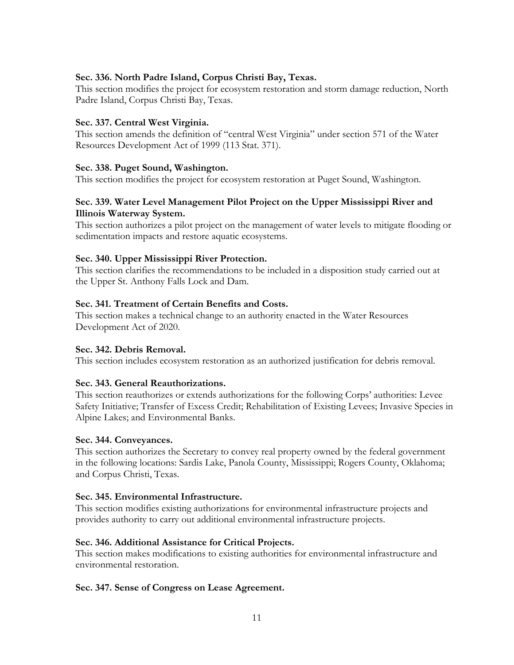#### **Sec. 336. North Padre Island, Corpus Christi Bay, Texas.**

This section modifies the project for ecosystem restoration and storm damage reduction, North Padre Island, Corpus Christi Bay, Texas.

#### **Sec. 337. Central West Virginia.**

This section amends the definition of "central West Virginia" under section 571 of the Water Resources Development Act of 1999 (113 Stat. 371).

#### **Sec. 338. Puget Sound, Washington.**

This section modifies the project for ecosystem restoration at Puget Sound, Washington.

#### **Sec. 339. Water Level Management Pilot Project on the Upper Mississippi River and Illinois Waterway System.**

This section authorizes a pilot project on the management of water levels to mitigate flooding or sedimentation impacts and restore aquatic ecosystems.

#### **Sec. 340. Upper Mississippi River Protection.**

This section clarifies the recommendations to be included in a disposition study carried out at the Upper St. Anthony Falls Lock and Dam.

#### **Sec. 341. Treatment of Certain Benefits and Costs.**

This section makes a technical change to an authority enacted in the Water Resources Development Act of 2020.

#### **Sec. 342. Debris Removal.**

This section includes ecosystem restoration as an authorized justification for debris removal.

#### **Sec. 343. General Reauthorizations.**

This section reauthorizes or extends authorizations for the following Corps' authorities: Levee Safety Initiative; Transfer of Excess Credit; Rehabilitation of Existing Levees; Invasive Species in Alpine Lakes; and Environmental Banks.

#### **Sec. 344. Conveyances.**

This section authorizes the Secretary to convey real property owned by the federal government in the following locations: Sardis Lake, Panola County, Mississippi; Rogers County, Oklahoma; and Corpus Christi, Texas.

#### **Sec. 345. Environmental Infrastructure.**

This section modifies existing authorizations for environmental infrastructure projects and provides authority to carry out additional environmental infrastructure projects.

#### **Sec. 346. Additional Assistance for Critical Projects.**

This section makes modifications to existing authorities for environmental infrastructure and environmental restoration.

#### **Sec. 347. Sense of Congress on Lease Agreement.**